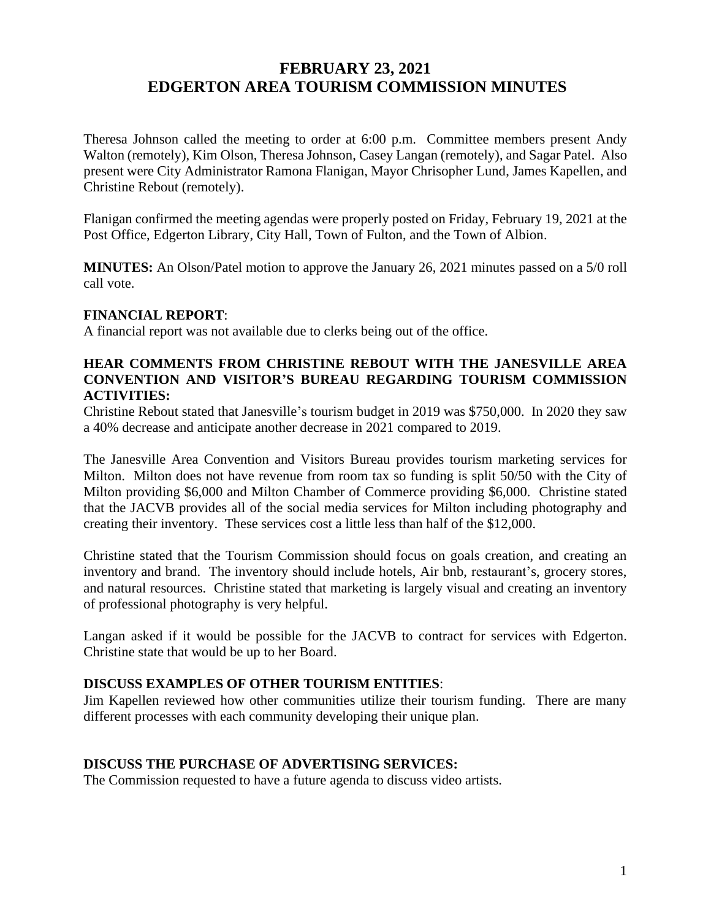# **FEBRUARY 23, 2021 EDGERTON AREA TOURISM COMMISSION MINUTES**

Theresa Johnson called the meeting to order at 6:00 p.m. Committee members present Andy Walton (remotely), Kim Olson, Theresa Johnson, Casey Langan (remotely), and Sagar Patel. Also present were City Administrator Ramona Flanigan, Mayor Chrisopher Lund, James Kapellen, and Christine Rebout (remotely).

Flanigan confirmed the meeting agendas were properly posted on Friday, February 19, 2021 at the Post Office, Edgerton Library, City Hall, Town of Fulton, and the Town of Albion.

**MINUTES:** An Olson/Patel motion to approve the January 26, 2021 minutes passed on a 5/0 roll call vote.

#### **FINANCIAL REPORT**:

A financial report was not available due to clerks being out of the office.

#### **HEAR COMMENTS FROM CHRISTINE REBOUT WITH THE JANESVILLE AREA CONVENTION AND VISITOR'S BUREAU REGARDING TOURISM COMMISSION ACTIVITIES:**

Christine Rebout stated that Janesville's tourism budget in 2019 was \$750,000. In 2020 they saw a 40% decrease and anticipate another decrease in 2021 compared to 2019.

The Janesville Area Convention and Visitors Bureau provides tourism marketing services for Milton. Milton does not have revenue from room tax so funding is split 50/50 with the City of Milton providing \$6,000 and Milton Chamber of Commerce providing \$6,000. Christine stated that the JACVB provides all of the social media services for Milton including photography and creating their inventory. These services cost a little less than half of the \$12,000.

Christine stated that the Tourism Commission should focus on goals creation, and creating an inventory and brand. The inventory should include hotels, Air bnb, restaurant's, grocery stores, and natural resources. Christine stated that marketing is largely visual and creating an inventory of professional photography is very helpful.

Langan asked if it would be possible for the JACVB to contract for services with Edgerton. Christine state that would be up to her Board.

# **DISCUSS EXAMPLES OF OTHER TOURISM ENTITIES**:

Jim Kapellen reviewed how other communities utilize their tourism funding. There are many different processes with each community developing their unique plan.

#### **DISCUSS THE PURCHASE OF ADVERTISING SERVICES:**

The Commission requested to have a future agenda to discuss video artists.